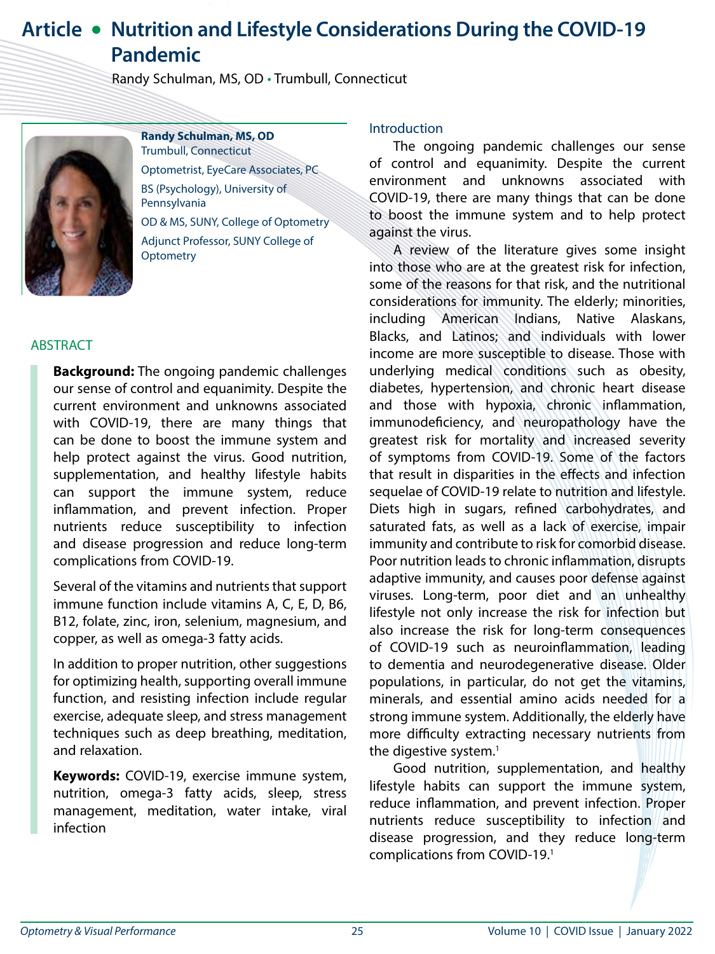# **Article • Nutrition and Lifestyle Considerations During the COVID-19 Pandemic**

Randy Schulman, MS, OD • Trumbull, Connecticut



**Randy Schulman, MS, OD** Trumbull, Connecticut Optometrist, EyeCare Associates, PC BS (Psychology), University of Pennsylvania OD & MS, SUNY, College of Optometry Adjunct Professor, SUNY College of

ABSTRACT

**Background:** The ongoing pandemic challenges our sense of control and equanimity. Despite the current environment and unknowns associated with COVID-19, there are many things that can be done to boost the immune system and help protect against the virus. Good nutrition, supplementation, and healthy lifestyle habits can support the immune system, reduce inflammation, and prevent infection. Proper nutrients reduce susceptibility to infection and disease progression and reduce long-term complications from COVID-19.

Several of the vitamins and nutrients that support immune function include vitamins A, C, E, D, B6, B12, folate, zinc, iron, selenium, magnesium, and copper, as well as omega-3 fatty acids.

In addition to proper nutrition, other suggestions for optimizing health, supporting overall immune function, and resisting infection include regular exercise, adequate sleep, and stress management techniques such as deep breathing, meditation, and relaxation.

**Keywords:** COVID-19, exercise immune system, nutrition, omega-3 fatty acids, sleep, stress management, meditation, water intake, viral infection

## Introduction

The ongoing pandemic challenges our sense of control and equanimity. Despite the current environment and unknowns associated with COVID-19, there are many things that can be done to boost the immune system and to help protect against the virus.

A review of the literature gives some insight into those who are at the greatest risk for infection, some of the reasons for that risk, and the nutritional considerations for immunity. The elderly; minorities, including American Indians, Native Alaskans, Blacks, and Latinos; and individuals with lower income are more susceptible to disease. Those with underlying medical conditions such as obesity, diabetes, hypertension, and chronic heart disease and those with hypoxia, chronic inflammation, immunodeficiency, and neuropathology have the greatest risk for mortality and increased severity of symptoms from COVID-19. Some of the factors that result in disparities in the effects and infection sequelae of COVID-19 relate to nutrition and lifestyle. Diets high in sugars, refined carbohydrates, and saturated fats, as well as a lack of exercise, impair immunity and contribute to risk for comorbid disease. Poor nutrition leads to chronic inflammation, disrupts adaptive immunity, and causes poor defense against viruses. Long-term, poor diet and an unhealthy lifestyle not only increase the risk for infection but also increase the risk for long-term consequences of COVID-19 such as neuroinflammation, leading to dementia and neurodegenerative disease. Older populations, in particular, do not get the vitamins, minerals, and essential amino acids needed for a strong immune system. Additionally, the elderly have more difficulty extracting necessary nutrients from the digestive system.<sup>1</sup>

Good nutrition, supplementation, and healthy lifestyle habits can support the immune system, reduce inflammation, and prevent infection. Proper nutrients reduce susceptibility to infection and disease progression, and they reduce long-term complications from COVID-19.1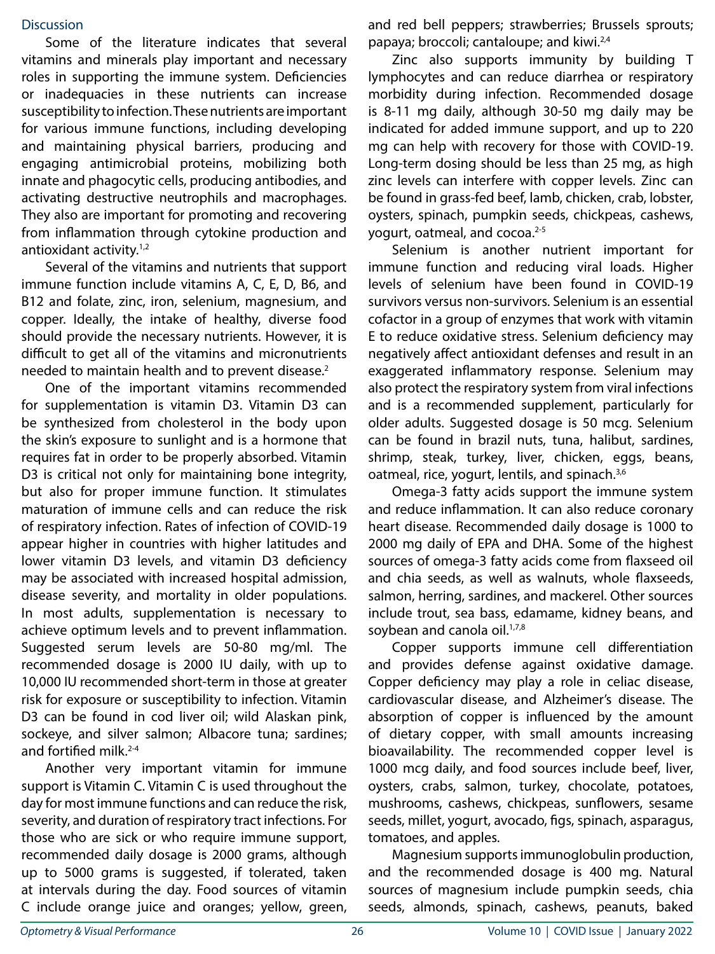#### **Discussion**

Some of the literature indicates that several vitamins and minerals play important and necessary roles in supporting the immune system. Deficiencies or inadequacies in these nutrients can increase susceptibility to infection. These nutrients are important for various immune functions, including developing and maintaining physical barriers, producing and engaging antimicrobial proteins, mobilizing both innate and phagocytic cells, producing antibodies, and activating destructive neutrophils and macrophages. They also are important for promoting and recovering from inflammation through cytokine production and antioxidant activity.<sup>1,2</sup>

Several of the vitamins and nutrients that support immune function include vitamins A, C, E, D, B6, and B12 and folate, zinc, iron, selenium, magnesium, and copper. Ideally, the intake of healthy, diverse food should provide the necessary nutrients. However, it is difficult to get all of the vitamins and micronutrients needed to maintain health and to prevent disease.<sup>2</sup>

One of the important vitamins recommended for supplementation is vitamin D3. Vitamin D3 can be synthesized from cholesterol in the body upon the skin's exposure to sunlight and is a hormone that requires fat in order to be properly absorbed. Vitamin D3 is critical not only for maintaining bone integrity, but also for proper immune function. It stimulates maturation of immune cells and can reduce the risk of respiratory infection. Rates of infection of COVID-19 appear higher in countries with higher latitudes and lower vitamin D3 levels, and vitamin D3 deficiency may be associated with increased hospital admission, disease severity, and mortality in older populations. In most adults, supplementation is necessary to achieve optimum levels and to prevent inflammation. Suggested serum levels are 50-80 mg/ml. The recommended dosage is 2000 IU daily, with up to 10,000 IU recommended short-term in those at greater risk for exposure or susceptibility to infection. Vitamin D3 can be found in cod liver oil; wild Alaskan pink, sockeye, and silver salmon; Albacore tuna; sardines; and fortified milk.<sup>2-4</sup>

Another very important vitamin for immune support is Vitamin C. Vitamin C is used throughout the day for most immune functions and can reduce the risk, severity, and duration of respiratory tract infections. For those who are sick or who require immune support, recommended daily dosage is 2000 grams, although up to 5000 grams is suggested, if tolerated, taken at intervals during the day. Food sources of vitamin C include orange juice and oranges; yellow, green,

and red bell peppers; strawberries; Brussels sprouts; papaya; broccoli; cantaloupe; and kiwi.<sup>2,4</sup>

Zinc also supports immunity by building T lymphocytes and can reduce diarrhea or respiratory morbidity during infection. Recommended dosage is 8-11 mg daily, although 30-50 mg daily may be indicated for added immune support, and up to 220 mg can help with recovery for those with COVID-19. Long-term dosing should be less than 25 mg, as high zinc levels can interfere with copper levels. Zinc can be found in grass-fed beef, lamb, chicken, crab, lobster, oysters, spinach, pumpkin seeds, chickpeas, cashews, yogurt, oatmeal, and cocoa.<sup>2-5</sup>

Selenium is another nutrient important for immune function and reducing viral loads. Higher levels of selenium have been found in COVID-19 survivors versus non-survivors. Selenium is an essential cofactor in a group of enzymes that work with vitamin E to reduce oxidative stress. Selenium deficiency may negatively affect antioxidant defenses and result in an exaggerated inflammatory response. Selenium may also protect the respiratory system from viral infections and is a recommended supplement, particularly for older adults. Suggested dosage is 50 mcg. Selenium can be found in brazil nuts, tuna, halibut, sardines, shrimp, steak, turkey, liver, chicken, eggs, beans, oatmeal, rice, yogurt, lentils, and spinach.3,6

Omega-3 fatty acids support the immune system and reduce inflammation. It can also reduce coronary heart disease. Recommended daily dosage is 1000 to 2000 mg daily of EPA and DHA. Some of the highest sources of omega-3 fatty acids come from flaxseed oil and chia seeds, as well as walnuts, whole flaxseeds, salmon, herring, sardines, and mackerel. Other sources include trout, sea bass, edamame, kidney beans, and soybean and canola oil.<sup>1,7,8</sup>

Copper supports immune cell differentiation and provides defense against oxidative damage. Copper deficiency may play a role in celiac disease, cardiovascular disease, and Alzheimer's disease. The absorption of copper is influenced by the amount of dietary copper, with small amounts increasing bioavailability. The recommended copper level is 1000 mcg daily, and food sources include beef, liver, oysters, crabs, salmon, turkey, chocolate, potatoes, mushrooms, cashews, chickpeas, sunflowers, sesame seeds, millet, yogurt, avocado, figs, spinach, asparagus, tomatoes, and apples.

Magnesium supports immunoglobulin production, and the recommended dosage is 400 mg. Natural sources of magnesium include pumpkin seeds, chia seeds, almonds, spinach, cashews, peanuts, baked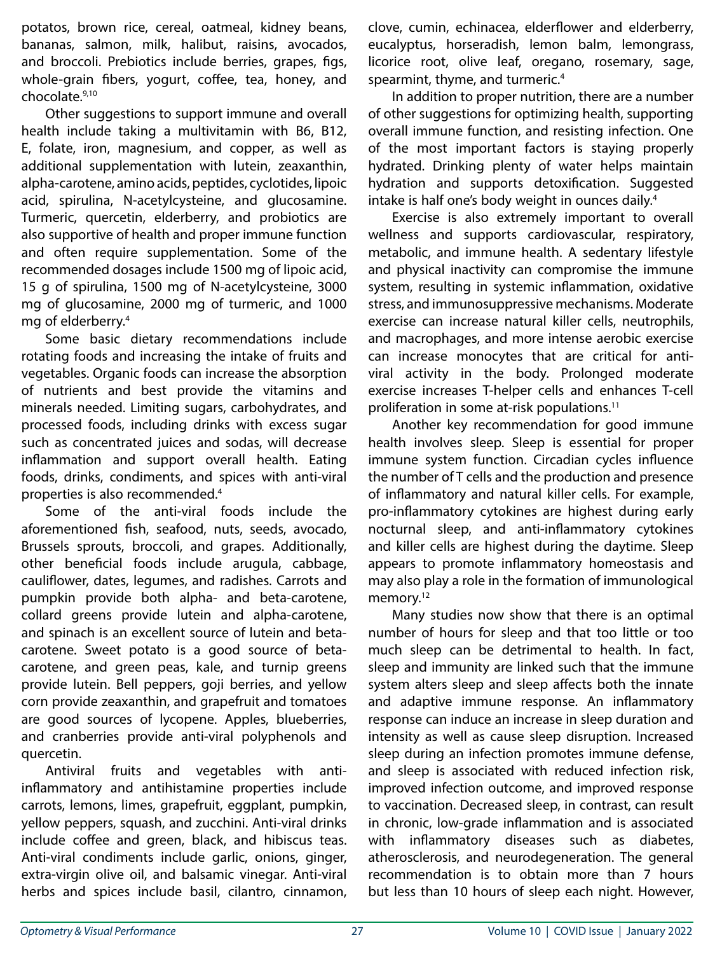potatos, brown rice, cereal, oatmeal, kidney beans, bananas, salmon, milk, halibut, raisins, avocados, and broccoli. Prebiotics include berries, grapes, figs, whole-grain fibers, yogurt, coffee, tea, honey, and chocolate.9,10

Other suggestions to support immune and overall health include taking a multivitamin with B6, B12, E, folate, iron, magnesium, and copper, as well as additional supplementation with lutein, zeaxanthin, alpha-carotene, amino acids, peptides, cyclotides, lipoic acid, spirulina, N-acetylcysteine, and glucosamine. Turmeric, quercetin, elderberry, and probiotics are also supportive of health and proper immune function and often require supplementation. Some of the recommended dosages include 1500 mg of lipoic acid, 15 g of spirulina, 1500 mg of N-acetylcysteine, 3000 mg of glucosamine, 2000 mg of turmeric, and 1000 mg of elderberry.4

Some basic dietary recommendations include rotating foods and increasing the intake of fruits and vegetables. Organic foods can increase the absorption of nutrients and best provide the vitamins and minerals needed. Limiting sugars, carbohydrates, and processed foods, including drinks with excess sugar such as concentrated juices and sodas, will decrease inflammation and support overall health. Eating foods, drinks, condiments, and spices with anti-viral properties is also recommended.4

Some of the anti-viral foods include the aforementioned fish, seafood, nuts, seeds, avocado, Brussels sprouts, broccoli, and grapes. Additionally, other beneficial foods include arugula, cabbage, cauliflower, dates, legumes, and radishes. Carrots and pumpkin provide both alpha- and beta-carotene, collard greens provide lutein and alpha-carotene, and spinach is an excellent source of lutein and betacarotene. Sweet potato is a good source of betacarotene, and green peas, kale, and turnip greens provide lutein. Bell peppers, goji berries, and yellow corn provide zeaxanthin, and grapefruit and tomatoes are good sources of lycopene. Apples, blueberries, and cranberries provide anti-viral polyphenols and quercetin.

Antiviral fruits and vegetables with antiinflammatory and antihistamine properties include carrots, lemons, limes, grapefruit, eggplant, pumpkin, yellow peppers, squash, and zucchini. Anti-viral drinks include coffee and green, black, and hibiscus teas. Anti-viral condiments include garlic, onions, ginger, extra-virgin olive oil, and balsamic vinegar. Anti-viral herbs and spices include basil, cilantro, cinnamon,

clove, cumin, echinacea, elderflower and elderberry, eucalyptus, horseradish, lemon balm, lemongrass, licorice root, olive leaf, oregano, rosemary, sage, spearmint, thyme, and turmeric.4

In addition to proper nutrition, there are a number of other suggestions for optimizing health, supporting overall immune function, and resisting infection. One of the most important factors is staying properly hydrated. Drinking plenty of water helps maintain hydration and supports detoxification. Suggested intake is half one's body weight in ounces daily.<sup>4</sup>

Exercise is also extremely important to overall wellness and supports cardiovascular, respiratory, metabolic, and immune health. A sedentary lifestyle and physical inactivity can compromise the immune system, resulting in systemic inflammation, oxidative stress, and immunosuppressive mechanisms. Moderate exercise can increase natural killer cells, neutrophils, and macrophages, and more intense aerobic exercise can increase monocytes that are critical for antiviral activity in the body. Prolonged moderate exercise increases T-helper cells and enhances T-cell proliferation in some at-risk populations.<sup>11</sup>

Another key recommendation for good immune health involves sleep. Sleep is essential for proper immune system function. Circadian cycles influence the number of T cells and the production and presence of inflammatory and natural killer cells. For example, pro-inflammatory cytokines are highest during early nocturnal sleep, and anti-inflammatory cytokines and killer cells are highest during the daytime. Sleep appears to promote inflammatory homeostasis and may also play a role in the formation of immunological memory.<sup>12</sup>

Many studies now show that there is an optimal number of hours for sleep and that too little or too much sleep can be detrimental to health. In fact, sleep and immunity are linked such that the immune system alters sleep and sleep affects both the innate and adaptive immune response. An inflammatory response can induce an increase in sleep duration and intensity as well as cause sleep disruption. Increased sleep during an infection promotes immune defense, and sleep is associated with reduced infection risk, improved infection outcome, and improved response to vaccination. Decreased sleep, in contrast, can result in chronic, low-grade inflammation and is associated with inflammatory diseases such as diabetes, atherosclerosis, and neurodegeneration. The general recommendation is to obtain more than 7 hours but less than 10 hours of sleep each night. However,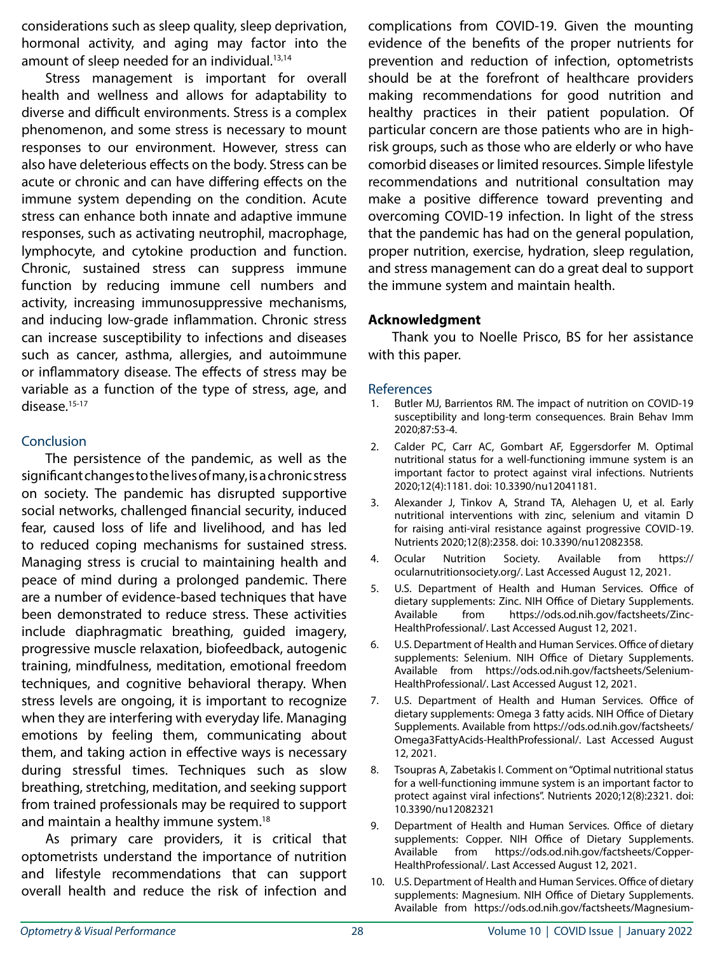considerations such as sleep quality, sleep deprivation, hormonal activity, and aging may factor into the amount of sleep needed for an individual. $13,14$ 

Stress management is important for overall health and wellness and allows for adaptability to diverse and difficult environments. Stress is a complex phenomenon, and some stress is necessary to mount responses to our environment. However, stress can also have deleterious effects on the body. Stress can be acute or chronic and can have differing effects on the immune system depending on the condition. Acute stress can enhance both innate and adaptive immune responses, such as activating neutrophil, macrophage, lymphocyte, and cytokine production and function. Chronic, sustained stress can suppress immune function by reducing immune cell numbers and activity, increasing immunosuppressive mechanisms, and inducing low-grade inflammation. Chronic stress can increase susceptibility to infections and diseases such as cancer, asthma, allergies, and autoimmune or inflammatory disease. The effects of stress may be variable as a function of the type of stress, age, and disease.<sup>15-17</sup>

## **Conclusion**

The persistence of the pandemic, as well as the significant changes to the lives of many, is a chronic stress on society. The pandemic has disrupted supportive social networks, challenged financial security, induced fear, caused loss of life and livelihood, and has led to reduced coping mechanisms for sustained stress. Managing stress is crucial to maintaining health and peace of mind during a prolonged pandemic. There are a number of evidence-based techniques that have been demonstrated to reduce stress. These activities include diaphragmatic breathing, guided imagery, progressive muscle relaxation, biofeedback, autogenic training, mindfulness, meditation, emotional freedom techniques, and cognitive behavioral therapy. When stress levels are ongoing, it is important to recognize when they are interfering with everyday life. Managing emotions by feeling them, communicating about them, and taking action in effective ways is necessary during stressful times. Techniques such as slow breathing, stretching, meditation, and seeking support from trained professionals may be required to support and maintain a healthy immune system.<sup>18</sup>

As primary care providers, it is critical that optometrists understand the importance of nutrition and lifestyle recommendations that can support overall health and reduce the risk of infection and

complications from COVID-19. Given the mounting evidence of the benefits of the proper nutrients for prevention and reduction of infection, optometrists should be at the forefront of healthcare providers making recommendations for good nutrition and healthy practices in their patient population. Of particular concern are those patients who are in highrisk groups, such as those who are elderly or who have comorbid diseases or limited resources. Simple lifestyle recommendations and nutritional consultation may make a positive difference toward preventing and overcoming COVID-19 infection. In light of the stress that the pandemic has had on the general population, proper nutrition, exercise, hydration, sleep regulation, and stress management can do a great deal to support the immune system and maintain health.

# **Acknowledgment**

Thank you to Noelle Prisco, BS for her assistance with this paper.

#### References

- Butler MJ, Barrientos RM. The impact of nutrition on COVID-19 susceptibility and long-term consequences. Brain Behav Imm 2020;87:53-4.
- 2. Calder PC, Carr AC, Gombart AF, Eggersdorfer M. Optimal nutritional status for a well-functioning immune system is an important factor to protect against viral infections. Nutrients 2020;12(4):1181. doi: 10.3390/nu12041181.
- 3. Alexander J, Tinkov A, Strand TA, Alehagen U, et al. Early nutritional interventions with zinc, selenium and vitamin D for raising anti-viral resistance against progressive COVID-19. Nutrients 2020;12(8):2358. doi: 10.3390/nu12082358.
- 4. Ocular Nutrition Society. Available from https:// ocularnutritionsociety.org/. Last Accessed August 12, 2021.
- 5. U.S. Department of Health and Human Services. Office of dietary supplements: Zinc. NIH Office of Dietary Supplements. Available from https://ods.od.nih.gov/factsheets/Zinc-HealthProfessional/. Last Accessed August 12, 2021.
- 6. U.S. Department of Health and Human Services. Office of dietary supplements: Selenium. NIH Office of Dietary Supplements. Available from https://ods.od.nih.gov/factsheets/Selenium-HealthProfessional/. Last Accessed August 12, 2021.
- 7. U.S. Department of Health and Human Services. Office of dietary supplements: Omega 3 fatty acids. NIH Office of Dietary Supplements. Available from https://ods.od.nih.gov/factsheets/ Omega3FattyAcids-HealthProfessional/. Last Accessed August 12, 2021.
- 8. Tsoupras A, Zabetakis I. Comment on "Optimal nutritional status for a well-functioning immune system is an important factor to protect against viral infections". Nutrients 2020;12(8):2321. doi: 10.3390/nu12082321
- 9. Department of Health and Human Services. Office of dietary supplements: Copper. NIH Office of Dietary Supplements. Available from https://ods.od.nih.gov/factsheets/Copper-HealthProfessional/. Last Accessed August 12, 2021.
- 10. U.S. Department of Health and Human Services. Office of dietary supplements: Magnesium. NIH Office of Dietary Supplements. Available from https://ods.od.nih.gov/factsheets/Magnesium-